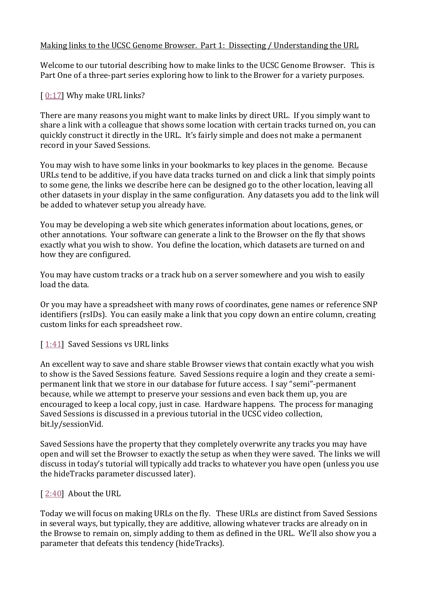## Making links to the UCSC Genome Browser. Part 1: Dissecting / Understanding the URL

Welcome to our tutorial describing how to make links to the UCSC Genome Browser. This is Part One of a three-part series exploring how to link to the Brower for a variety purposes.

# $[0:17]$  $[0:17]$  Why make URL links?

There are many reasons you might want to make links by direct URL. If you simply want to share a link with a colleague that shows some location with certain tracks turned on, you can quickly construct it directly in the URL. It's fairly simple and does not make a permanent record in your Saved Sessions.

You may wish to have some links in your bookmarks to key places in the genome. Because URLs tend to be additive, if you have data tracks turned on and click a link that simply points to some gene, the links we describe here can be designed go to the other location, leaving all other datasets in your display in the same configuration. Any datasets you add to the link will be added to whatever setup you already have.

You may be developing a web site which generates information about locations, genes, or other annotations. Your software can generate a link to the Browser on the fly that shows exactly what you wish to show. You define the location, which datasets are turned on and how they are configured.

You may have custom tracks or a track hub on a server somewhere and you wish to easily load the data.

Or you may have a spreadsheet with many rows of coordinates, gene names or reference SNP identifiers (rsIDs). You can easily make a link that you copy down an entire column, creating custom links for each spreadsheet row.

### [[1:41\]](https://www.youtube.com/watch?v=p6TPvHDmpJk&feature=youtu.be&list=UUQnUJepyNOw0p8s2otX4RYQ&t=101s) Saved Sessions vs URL links

An excellent way to save and share stable Browser views that contain exactly what you wish to show is the Saved Sessions feature. Saved Sessions require a login and they create a semipermanent link that we store in our database for future access. I say "semi"-permanent because, while we attempt to preserve your sessions and even back them up, you are encouraged to keep a local copy, just in case. Hardware happens. The process for managing Saved Sessions is discussed in a previous tutorial in the UCSC video collection, bit.ly/sessionVid.

Saved Sessions have the property that they completely overwrite any tracks you may have open and will set the Browser to exactly the setup as when they were saved. The links we will discuss in today's tutorial will typically add tracks to whatever you have open (unless you use the hideTracks parameter discussed later).

### [ [2:40\]](https://www.youtube.com/watch?v=p6TPvHDmpJk&feature=youtu.be&list=UUQnUJepyNOw0p8s2otX4RYQ&t=160s) About the URL

Today we will focus on making URLs on the fly. These URLs are distinct from Saved Sessions in several ways, but typically, they are additive, allowing whatever tracks are already on in the Browse to remain on, simply adding to them as defined in the URL. We'll also show you a parameter that defeats this tendency (hideTracks).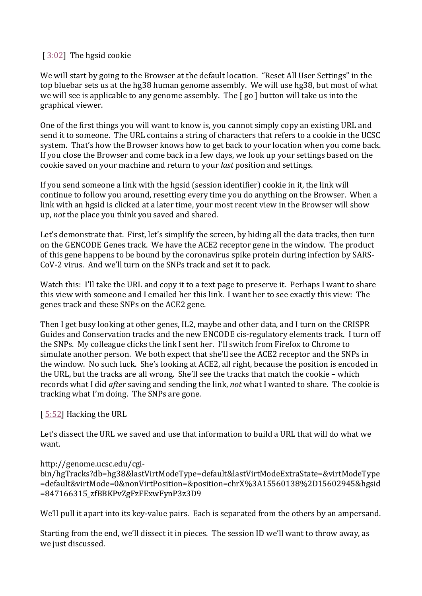# $\left[ \frac{3:02}{ } \right]$  The hgsid cookie

We will start by going to the Browser at the default location. "Reset All User Settings" in the top bluebar sets us at the hg38 human genome assembly. We will use hg38, but most of what we will see is applicable to any genome assembly. The [ go ] button will take us into the graphical viewer.

One of the first things you will want to know is, you cannot simply copy an existing URL and send it to someone. The URL contains a string of characters that refers to a cookie in the UCSC system. That's how the Browser knows how to get back to your location when you come back. If you close the Browser and come back in a few days, we look up your settings based on the cookie saved on your machine and return to your *last* position and settings.

If you send someone a link with the hgsid (session identifier) cookie in it, the link will continue to follow you around, resetting every time you do anything on the Browser. When a link with an hgsid is clicked at a later time, your most recent view in the Browser will show up, *not* the place you think you saved and shared.

Let's demonstrate that. First, let's simplify the screen, by hiding all the data tracks, then turn on the GENCODE Genes track. We have the ACE2 receptor gene in the window. The product of this gene happens to be bound by the coronavirus spike protein during infection by SARS-CoV-2 virus. And we'll turn on the SNPs track and set it to pack.

Watch this: I'll take the URL and copy it to a text page to preserve it. Perhaps I want to share this view with someone and I emailed her this link. I want her to see exactly this view: The genes track and these SNPs on the ACE2 gene.

Then I get busy looking at other genes, IL2, maybe and other data, and I turn on the CRISPR Guides and Conservation tracks and the new ENCODE cis-regulatory elements track. I turn off the SNPs. My colleague clicks the link I sent her. I'll switch from Firefox to Chrome to simulate another person. We both expect that she'll see the ACE2 receptor and the SNPs in the window. No such luck. She's looking at ACE2, all right, because the position is encoded in the URL, but the tracks are all wrong. She'll see the tracks that match the cookie – which records what I did *after* saving and sending the link, *not* what I wanted to share. The cookie is tracking what I'm doing. The SNPs are gone.

### [ [5:52\]](https://www.youtube.com/watch?v=p6TPvHDmpJk&feature=youtu.be&list=UUQnUJepyNOw0p8s2otX4RYQ&t=352s) Hacking the URL

Let's dissect the URL we saved and use that information to build a URL that will do what we want.

### http://genome.ucsc.edu/cgi-

bin/hgTracks?db=hg38&lastVirtModeType=default&lastVirtModeExtraState=&virtModeType =default&virtMode=0&nonVirtPosition=&position=chrX%3A15560138%2D15602945&hgsid =847166315\_zfBBKPvZgFzFExwFynP3z3D9

We'll pull it apart into its key-value pairs. Each is separated from the others by an ampersand.

Starting from the end, we'll dissect it in pieces. The session ID we'll want to throw away, as we just discussed.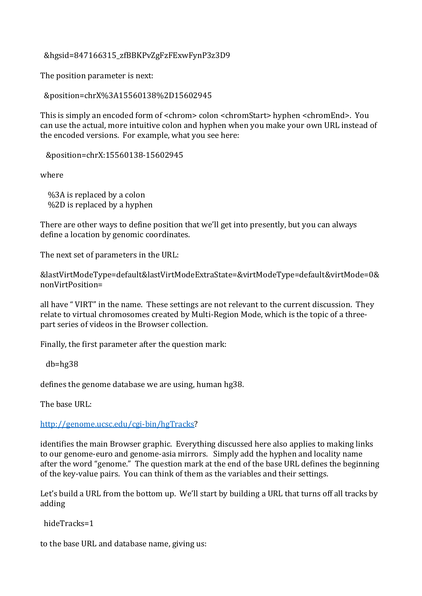&hgsid=847166315\_zfBBKPvZgFzFExwFynP3z3D9

The position parameter is next:

&position=chrX%3A15560138%2D15602945

This is simply an encoded form of <chrom> colon <chromStart> hyphen <chromEnd>. You can use the actual, more intuitive colon and hyphen when you make your own URL instead of the encoded versions. For example, what you see here:

&position=chrX:15560138-15602945

where

 %3A is replaced by a colon %2D is replaced by a hyphen

There are other ways to define position that we'll get into presently, but you can always define a location by genomic coordinates.

The next set of parameters in the URL:

&lastVirtModeType=default&lastVirtModeExtraState=&virtModeType=default&virtMode=0& nonVirtPosition=

all have " VIRT" in the name. These settings are not relevant to the current discussion. They relate to virtual chromosomes created by Multi-Region Mode, which is the topic of a threepart series of videos in the Browser collection.

Finally, the first parameter after the question mark:

db=hg38

defines the genome database we are using, human hg38.

The base URL:

[http://genome.ucsc.edu/cgi-bin/hgTracks?](http://genome.ucsc.edu/cgi-bin/hgTracks)

identifies the main Browser graphic. Everything discussed here also applies to making links to our genome-euro and genome-asia mirrors. Simply add the hyphen and locality name after the word "genome." The question mark at the end of the base URL defines the beginning of the key-value pairs. You can think of them as the variables and their settings.

Let's build a URL from the bottom up. We'll start by building a URL that turns off all tracks by adding

hideTracks=1

to the base URL and database name, giving us: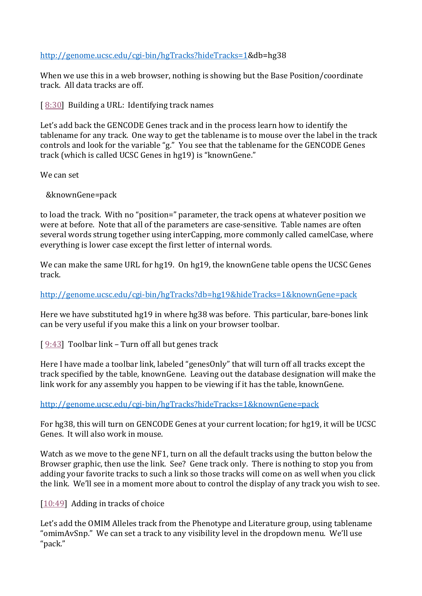## [http://genome.ucsc.edu/cgi-bin/hgTracks?hideTracks=1&](http://genome.ucsc.edu/cgi-bin/hgTracks?hideTracks=1)db=hg38

When we use this in a web browser, nothing is showing but the Base Position/coordinate track. All data tracks are off.

[ $8:30$ ] Building a URL: Identifying track names

Let's add back the GENCODE Genes track and in the process learn how to identify the tablename for any track. One way to get the tablename is to mouse over the label in the track controls and look for the variable "g." You see that the tablename for the GENCODE Genes track (which is called UCSC Genes in hg19) is "knownGene."

We can set

&knownGene=pack

to load the track. With no "position=" parameter, the track opens at whatever position we were at before. Note that all of the parameters are case-sensitive. Table names are often several words strung together using interCapping, more commonly called camelCase, where everything is lower case except the first letter of internal words.

We can make the same URL for hg19. On hg19, the knownGene table opens the UCSC Genes track.

<http://genome.ucsc.edu/cgi-bin/hgTracks?db=hg19&hideTracks=1&knownGene=pack>

Here we have substituted hg19 in where hg38 was before. This particular, bare-bones link can be very useful if you make this a link on your browser toolbar.

[ $9:43$ ] Toolbar link – Turn off all but genes track

Here I have made a toolbar link, labeled "genesOnly" that will turn off all tracks except the track specified by the table, knownGene. Leaving out the database designation will make the link work for any assembly you happen to be viewing if it has the table, knownGene.

<http://genome.ucsc.edu/cgi-bin/hgTracks?hideTracks=1&knownGene=pack>

For hg38, this will turn on GENCODE Genes at your current location; for hg19, it will be UCSC Genes. It will also work in mouse.

Watch as we move to the gene NF1, turn on all the default tracks using the button below the Browser graphic, then use the link. See? Gene track only. There is nothing to stop you from adding your favorite tracks to such a link so those tracks will come on as well when you click the link. We'll see in a moment more about to control the display of any track you wish to see.

[\[10:49\]](https://www.youtube.com/watch?v=p6TPvHDmpJk&feature=youtu.be&list=UUQnUJepyNOw0p8s2otX4RYQ&t=649s) Adding in tracks of choice

Let's add the OMIM Alleles track from the Phenotype and Literature group, using tablename "omimAvSnp." We can set a track to any visibility level in the dropdown menu. We'll use "pack."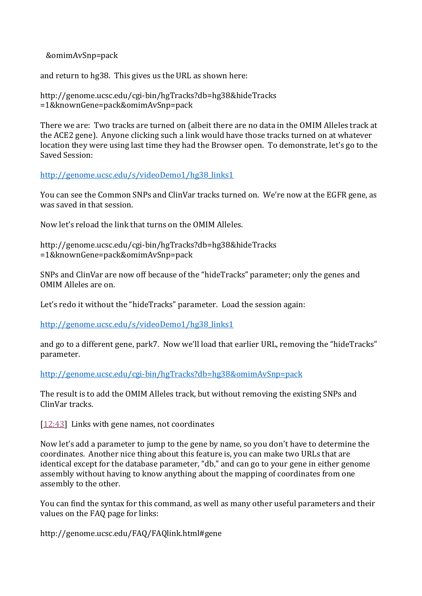&omimAvSnp=pack

and return to hg38. This gives us the URL as shown here:

http://genome.ucsc.edu/cgi-bin/hgTracks?db=hg38&hideTracks =1&knownGene=pack&omimAvSnp=pack

There we are: Two tracks are turned on (albeit there are no data in the OMIM Alleles track at the ACE2 gene). Anyone clicking such a link would have those tracks turned on at whatever location they were using last time they had the Browser open. To demonstrate, let's go to the Saved Session:

[http://genome.ucsc.edu/s/videoDemo1/hg38\\_links1](http://genome.ucsc.edu/s/videoDemo1/hg38_links1)

You can see the Common SNPs and ClinVar tracks turned on. We're now at the EGFR gene, as was saved in that session.

Now let's reload the link that turns on the OMIM Alleles.

http://genome.ucsc.edu/cgi-bin/hgTracks?db=hg38&hideTracks =1&knownGene=pack&omimAvSnp=pack

SNPs and ClinVar are now off because of the "hideTracks" parameter; only the genes and OMIM Alleles are on.

Let's redo it without the "hideTracks" parameter. Load the session again:

[http://genome.ucsc.edu/s/videoDemo1/hg38\\_links1](http://genome.ucsc.edu/s/videoDemo1/hg38_links1)

and go to a different gene, park7. Now we'll load that earlier URL, removing the "hideTracks" parameter.

<http://genome.ucsc.edu/cgi-bin/hgTracks?db=hg38&omimAvSnp=pack>

The result is to add the OMIM Alleles track, but without removing the existing SNPs and ClinVar tracks.

[\[12:43\]](https://www.youtube.com/watch?v=p6TPvHDmpJk&feature=youtu.be&list=UUQnUJepyNOw0p8s2otX4RYQ&t=763s) Links with gene names, not coordinates

Now let's add a parameter to jump to the gene by name, so you don't have to determine the coordinates. Another nice thing about this feature is, you can make two URLs that are identical except for the database parameter, "db," and can go to your gene in either genome assembly without having to know anything about the mapping of coordinates from one assembly to the other.

You can find the syntax for this command, as well as many other useful parameters and their values on the FAQ page for links:

http://genome.ucsc.edu/FAQ/FAQlink.html#gene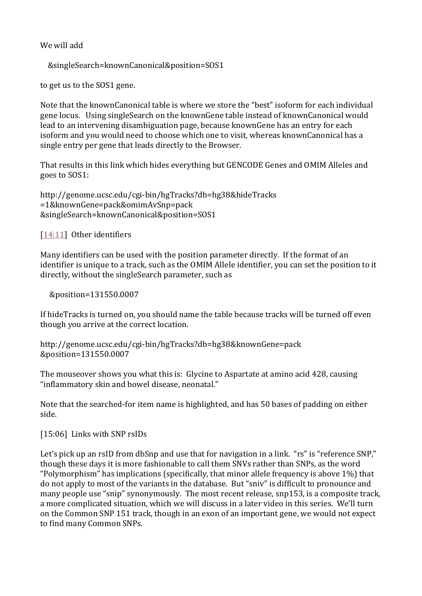## We will add

```
 &singleSearch=knownCanonical&position=SOS1
```
to get us to the SOS1 gene.

Note that the knownCanonical table is where we store the "best" isoform for each individual gene locus. Using singleSearch on the knownGene table instead of knownCanonical would lead to an intervening disambiguation page, because knownGene has an entry for each isoform and you would need to choose which one to visit, whereas knownCanonical has a single entry per gene that leads directly to the Browser.

That results in this link which hides everything but GENCODE Genes and OMIM Alleles and goes to SOS1:

http://genome.ucsc.edu/cgi-bin/hgTracks?db=hg38&hideTracks =1&knownGene=pack&omimAvSnp=pack &singleSearch=knownCanonical&position=SOS1

[\[14:11\]](https://www.youtube.com/watch?v=p6TPvHDmpJk&feature=youtu.be&list=UUQnUJepyNOw0p8s2otX4RYQ&t=851s) Other identifiers

Many identifiers can be used with the position parameter directly. If the format of an identifier is unique to a track, such as the OMIM Allele identifier, you can set the position to it directly, without the singleSearch parameter, such as

&position=131550.0007

If hideTracks is turned on, you should name the table because tracks will be turned off even though you arrive at the correct location.

```
http://genome.ucsc.edu/cgi-bin/hgTracks?db=hg38&knownGene=pack
&position=131550.0007
```
The mouseover shows you what this is: Glycine to Aspartate at amino acid 428, causing "inflammatory skin and bowel disease, neonatal."

Note that the searched-for item name is highlighted, and has 50 bases of padding on either side.

[15:06] Links with SNP rsIDs

Let's pick up an rsID from dbSnp and use that for navigation in a link. "rs" is "reference SNP," though these days it is more fashionable to call them SNVs rather than SNPs, as the word "Polymorphism" has implications (specifically, that minor allele frequency is above 1%) that do not apply to most of the variants in the database. But "sniv" is difficult to pronounce and many people use "snip" synonymously. The most recent release, snp153, is a composite track, a more complicated situation, which we will discuss in a later video in this series. We'll turn on the Common SNP 151 track, though in an exon of an important gene, we would not expect to find many Common SNPs.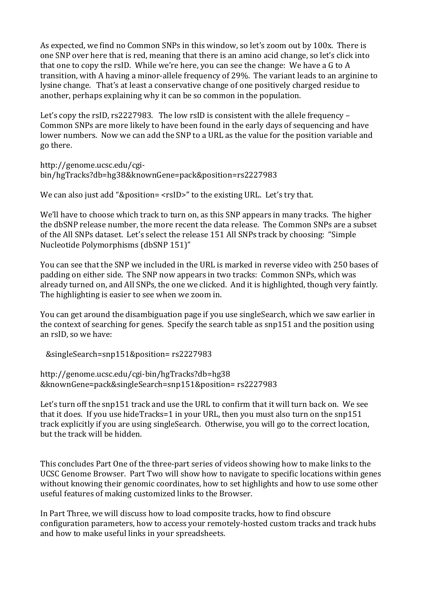As expected, we find no Common SNPs in this window, so let's zoom out by 100x. There is one SNP over here that is red, meaning that there is an amino acid change, so let's click into that one to copy the rsID. While we're here, you can see the change: We have a G to A transition, with A having a minor-allele frequency of 29%. The variant leads to an arginine to lysine change. That's at least a conservative change of one positively charged residue to another, perhaps explaining why it can be so common in the population.

Let's copy the rsID, rs2227983. The low rsID is consistent with the allele frequency – Common SNPs are more likely to have been found in the early days of sequencing and have lower numbers. Now we can add the SNP to a URL as the value for the position variable and go there.

http://genome.ucsc.edu/cgibin/hgTracks?db=hg38&knownGene=pack&position=rs2227983

We can also just add "&position= <rsID>" to the existing URL. Let's try that.

We'll have to choose which track to turn on, as this SNP appears in many tracks. The higher the dbSNP release number, the more recent the data release. The Common SNPs are a subset of the All SNPs dataset. Let's select the release 151 All SNPs track by choosing: "Simple Nucleotide Polymorphisms (dbSNP 151)"

You can see that the SNP we included in the URL is marked in reverse video with 250 bases of padding on either side. The SNP now appears in two tracks: Common SNPs, which was already turned on, and All SNPs, the one we clicked. And it is highlighted, though very faintly. The highlighting is easier to see when we zoom in.

You can get around the disambiguation page if you use singleSearch, which we saw earlier in the context of searching for genes. Specify the search table as snp151 and the position using an rsID, so we have:

&singleSearch=snp151&position= rs2227983

http://genome.ucsc.edu/cgi-bin/hgTracks?db=hg38 &knownGene=pack&singleSearch=snp151&position= rs2227983

Let's turn off the snp151 track and use the URL to confirm that it will turn back on. We see that it does. If you use hideTracks=1 in your URL, then you must also turn on the snp151 track explicitly if you are using singleSearch. Otherwise, you will go to the correct location, but the track will be hidden.

This concludes Part One of the three-part series of videos showing how to make links to the UCSC Genome Browser. Part Two will show how to navigate to specific locations within genes without knowing their genomic coordinates, how to set highlights and how to use some other useful features of making customized links to the Browser.

In Part Three, we will discuss how to load composite tracks, how to find obscure configuration parameters, how to access your remotely-hosted custom tracks and track hubs and how to make useful links in your spreadsheets.